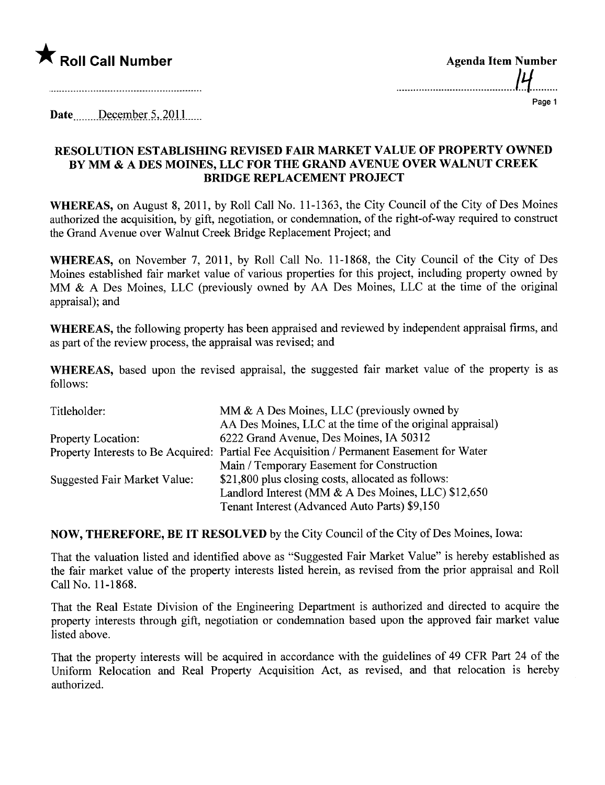

| <b>Agenda Item Number</b> |    |
|---------------------------|----|
|                           | עו |
|                           |    |

Page 1

Date... December 5, 2011

## RESOLUTION ESTABLISHING REVISED FAIR MARKET VALUE OF PROPERTY OWNED BY MM & A DES MOINES, LLC FOR THE GRAND AVENUE OVER WALNUT CREEK BRIDGE REPLACEMENT PROJECT

WHEREAS, on August 8, 2011, by Roll Call No. 11-1363, the City Council of the City of Des Moines authorized the acquisition, by gift, negotiation, or condemnation, of the right-of-way required to construct the Grand Avenue over Walnut Creek Bridge Replacement Project; and

WHEREAS, on November 7, 2011, by Roll Call No. 11-1868, the City Council of the City of Des Moines established fair market value of various properties for this project, including property owned by MM & A Des Moines, LLC (previously owned by AA Des Moines, LLC at the time of the original appraisal); and

WHEREAS, the following property has been appraised and reviewed by independent appraisal firms, and as part of the review process, the appraisal was revised; and

WHEREAS, based upon the revised appraisal, the suggested fair market value of the property is as follows:

| Titleholder:                 | MM $\&$ A Des Moines, LLC (previously owned by                                            |
|------------------------------|-------------------------------------------------------------------------------------------|
|                              | AA Des Moines, LLC at the time of the original appraisal)                                 |
| <b>Property Location:</b>    | 6222 Grand Avenue, Des Moines, IA 50312                                                   |
|                              | Property Interests to Be Acquired: Partial Fee Acquisition / Permanent Easement for Water |
|                              | Main / Temporary Easement for Construction                                                |
| Suggested Fair Market Value: | \$21,800 plus closing costs, allocated as follows:                                        |
|                              | Landlord Interest (MM & A Des Moines, LLC) \$12,650                                       |
|                              | Tenant Interest (Advanced Auto Parts) \$9,150                                             |
|                              |                                                                                           |

NOW, THEREFORE, BE IT RESOLVED by the City Council ofthe City of Des Moines, Iowa:

That the valuation listed and identified above as "Suggested Fair Market Value" is hereby established as the fair market value of the property interests listed herein, as revised from the prior appraisal and Roll Call No. 11-1868.

That the Real Estate Division of the Engineering Deparment is authorized and directed to acquire the property interests through gift, negotiation or condemnation based upon the approved fair market value listed above.

That the property interests will be acquired in accordance with the guidelines of 49 CFR Part 24 of the Uniform Relocation and Real Property Acquisition Act, as revised, and that relocation is hereby authorized.